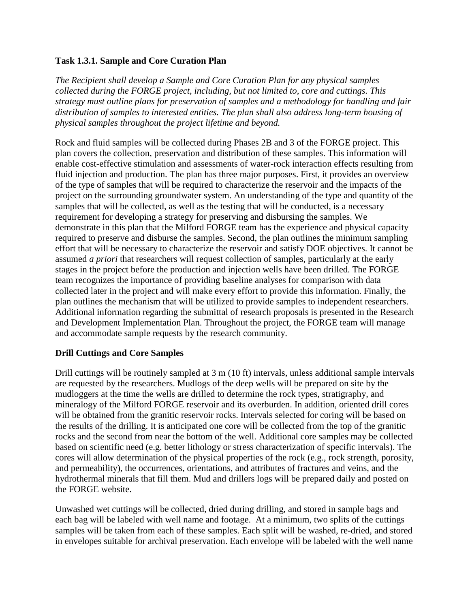### **Task 1.3.1. Sample and Core Curation Plan**

*The Recipient shall develop a Sample and Core Curation Plan for any physical samples collected during the FORGE project, including, but not limited to, core and cuttings. This strategy must outline plans for preservation of samples and a methodology for handling and fair distribution of samples to interested entities. The plan shall also address long-term housing of physical samples throughout the project lifetime and beyond.*

Rock and fluid samples will be collected during Phases 2B and 3 of the FORGE project. This plan covers the collection, preservation and distribution of these samples. This information will enable cost-effective stimulation and assessments of water-rock interaction effects resulting from fluid injection and production. The plan has three major purposes. First, it provides an overview of the type of samples that will be required to characterize the reservoir and the impacts of the project on the surrounding groundwater system. An understanding of the type and quantity of the samples that will be collected, as well as the testing that will be conducted, is a necessary requirement for developing a strategy for preserving and disbursing the samples. We demonstrate in this plan that the Milford FORGE team has the experience and physical capacity required to preserve and disburse the samples. Second, the plan outlines the minimum sampling effort that will be necessary to characterize the reservoir and satisfy DOE objectives. It cannot be assumed *a priori* that researchers will request collection of samples, particularly at the early stages in the project before the production and injection wells have been drilled. The FORGE team recognizes the importance of providing baseline analyses for comparison with data collected later in the project and will make every effort to provide this information. Finally, the plan outlines the mechanism that will be utilized to provide samples to independent researchers. Additional information regarding the submittal of research proposals is presented in the Research and Development Implementation Plan. Throughout the project, the FORGE team will manage and accommodate sample requests by the research community.

## **Drill Cuttings and Core Samples**

Drill cuttings will be routinely sampled at 3 m (10 ft) intervals, unless additional sample intervals are requested by the researchers. Mudlogs of the deep wells will be prepared on site by the mudloggers at the time the wells are drilled to determine the rock types, stratigraphy, and mineralogy of the Milford FORGE reservoir and its overburden. In addition, oriented drill cores will be obtained from the granitic reservoir rocks. Intervals selected for coring will be based on the results of the drilling. It is anticipated one core will be collected from the top of the granitic rocks and the second from near the bottom of the well. Additional core samples may be collected based on scientific need (e.g. better lithology or stress characterization of specific intervals). The cores will allow determination of the physical properties of the rock (e.g., rock strength, porosity, and permeability), the occurrences, orientations, and attributes of fractures and veins, and the hydrothermal minerals that fill them. Mud and drillers logs will be prepared daily and posted on the FORGE website.

Unwashed wet cuttings will be collected, dried during drilling, and stored in sample bags and each bag will be labeled with well name and footage. At a minimum, two splits of the cuttings samples will be taken from each of these samples. Each split will be washed, re-dried, and stored in envelopes suitable for archival preservation. Each envelope will be labeled with the well name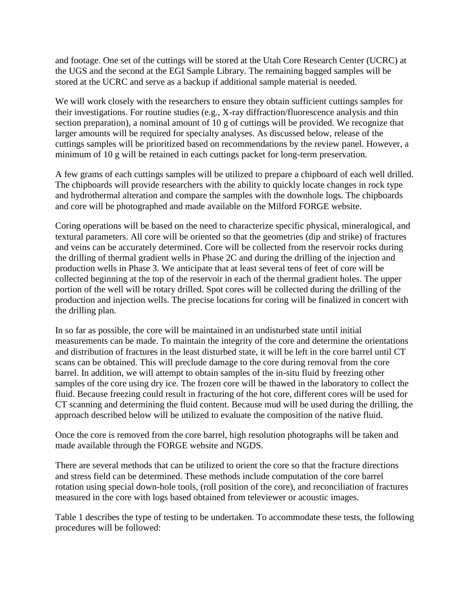and footage. One set of the cuttings will be stored at the Utah Core Research Center (UCRC) at the UGS and the second at the EGI Sample Library. The remaining bagged samples will be stored at the UCRC and serve as a backup if additional sample material is needed.

We will work closely with the researchers to ensure they obtain sufficient cuttings samples for their investigations. For routine studies (e.g., X-ray diffraction/fluorescence analysis and thin section preparation), a nominal amount of 10 g of cuttings will be provided. We recognize that larger amounts will be required for specialty analyses. As discussed below, release of the cuttings samples will be prioritized based on recommendations by the review panel. However, a minimum of 10 g will be retained in each cuttings packet for long-term preservation.

A few grams of each cuttings samples will be utilized to prepare a chipboard of each well drilled. The chipboards will provide researchers with the ability to quickly locate changes in rock type and hydrothermal alteration and compare the samples with the downhole logs. The chipboards and core will be photographed and made available on the Milford FORGE website.

Coring operations will be based on the need to characterize specific physical, mineralogical, and textural parameters. All core will be oriented so that the geometries (dip and strike) of fractures and veins can be accurately determined. Core will be collected from the reservoir rocks during the drilling of thermal gradient wells in Phase 2C and during the drilling of the injection and production wells in Phase 3. We anticipate that at least several tens of feet of core will be collected beginning at the top of the reservoir in each of the thermal gradient holes. The upper portion of the well will be rotary drilled. Spot cores will be collected during the drilling of the production and injection wells. The precise locations for coring will be finalized in concert with the drilling plan.

In so far as possible, the core will be maintained in an undisturbed state until initial measurements can be made. To maintain the integrity of the core and determine the orientations and distribution of fractures in the least disturbed state, it will be left in the core barrel until CT scans can be obtained. This will preclude damage to the core during removal from the core barrel. In addition, we will attempt to obtain samples of the in-situ fluid by freezing other samples of the core using dry ice. The frozen core will be thawed in the laboratory to collect the fluid. Because freezing could result in fracturing of the hot core, different cores will be used for CT scanning and determining the fluid content. Because mud will be used during the drilling, the approach described below will be utilized to evaluate the composition of the native fluid.

Once the core is removed from the core barrel, high resolution photographs will be taken and made available through the FORGE website and NGDS.

There are several methods that can be utilized to orient the core so that the fracture directions and stress field can be determined. These methods include computation of the core barrel rotation using special down-hole tools, (roll position of the core), and reconciliation of fractures measured in the core with logs based obtained from televiewer or acoustic images.

Table 1 describes the type of testing to be undertaken. To accommodate these tests, the following procedures will be followed: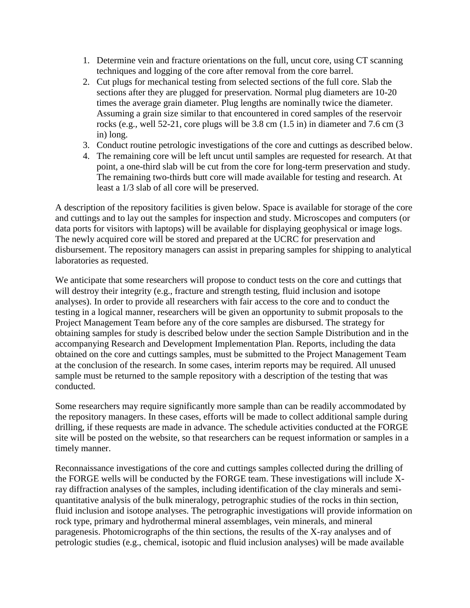- 1. Determine vein and fracture orientations on the full, uncut core, using CT scanning techniques and logging of the core after removal from the core barrel.
- 2. Cut plugs for mechanical testing from selected sections of the full core. Slab the sections after they are plugged for preservation. Normal plug diameters are 10-20 times the average grain diameter. Plug lengths are nominally twice the diameter. Assuming a grain size similar to that encountered in cored samples of the reservoir rocks (e.g., well 52-21, core plugs will be 3.8 cm (1.5 in) in diameter and 7.6 cm (3 in) long.
- 3. Conduct routine petrologic investigations of the core and cuttings as described below.
- 4. The remaining core will be left uncut until samples are requested for research. At that point, a one-third slab will be cut from the core for long-term preservation and study. The remaining two-thirds butt core will made available for testing and research. At least a 1/3 slab of all core will be preserved.

A description of the repository facilities is given below. Space is available for storage of the core and cuttings and to lay out the samples for inspection and study. Microscopes and computers (or data ports for visitors with laptops) will be available for displaying geophysical or image logs. The newly acquired core will be stored and prepared at the UCRC for preservation and disbursement. The repository managers can assist in preparing samples for shipping to analytical laboratories as requested.

We anticipate that some researchers will propose to conduct tests on the core and cuttings that will destroy their integrity (e.g., fracture and strength testing, fluid inclusion and isotope analyses). In order to provide all researchers with fair access to the core and to conduct the testing in a logical manner, researchers will be given an opportunity to submit proposals to the Project Management Team before any of the core samples are disbursed. The strategy for obtaining samples for study is described below under the section Sample Distribution and in the accompanying Research and Development Implementation Plan. Reports, including the data obtained on the core and cuttings samples, must be submitted to the Project Management Team at the conclusion of the research. In some cases, interim reports may be required. All unused sample must be returned to the sample repository with a description of the testing that was conducted.

Some researchers may require significantly more sample than can be readily accommodated by the repository managers. In these cases, efforts will be made to collect additional sample during drilling, if these requests are made in advance. The schedule activities conducted at the FORGE site will be posted on the website, so that researchers can be request information or samples in a timely manner.

Reconnaissance investigations of the core and cuttings samples collected during the drilling of the FORGE wells will be conducted by the FORGE team. These investigations will include Xray diffraction analyses of the samples, including identification of the clay minerals and semiquantitative analysis of the bulk mineralogy, petrographic studies of the rocks in thin section, fluid inclusion and isotope analyses. The petrographic investigations will provide information on rock type, primary and hydrothermal mineral assemblages, vein minerals, and mineral paragenesis. Photomicrographs of the thin sections, the results of the X-ray analyses and of petrologic studies (e.g., chemical, isotopic and fluid inclusion analyses) will be made available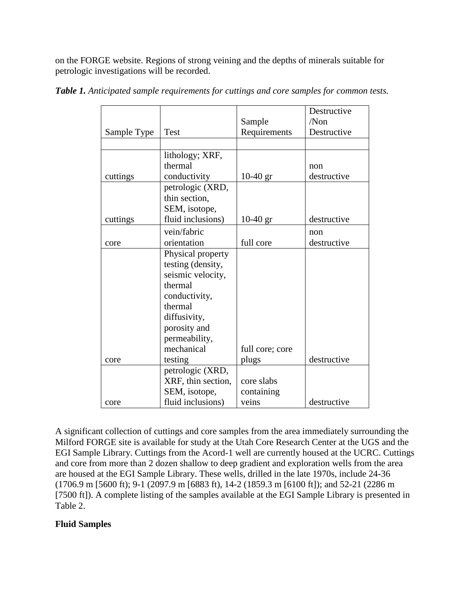on the FORGE website. Regions of strong veining and the depths of minerals suitable for petrologic investigations will be recorded.

|             |                    |                 | Destructive |
|-------------|--------------------|-----------------|-------------|
|             |                    | Sample          | /Non        |
| Sample Type | Test               | Requirements    | Destructive |
|             |                    |                 |             |
|             | lithology; XRF,    |                 |             |
|             | thermal            |                 | non         |
| cuttings    | conductivity       | $10-40$ gr      | destructive |
|             | petrologic (XRD,   |                 |             |
|             | thin section,      |                 |             |
|             | SEM, isotope,      |                 |             |
| cuttings    | fluid inclusions)  | $10-40$ gr      | destructive |
|             | vein/fabric        |                 | non         |
| core        | orientation        | full core       | destructive |
|             | Physical property  |                 |             |
|             | testing (density,  |                 |             |
|             | seismic velocity,  |                 |             |
|             | thermal            |                 |             |
|             | conductivity,      |                 |             |
|             | thermal            |                 |             |
|             | diffusivity,       |                 |             |
|             | porosity and       |                 |             |
|             | permeability,      |                 |             |
|             | mechanical         | full core; core |             |
| core        | testing            | plugs           | destructive |
|             | petrologic (XRD,   |                 |             |
|             | XRF, thin section, | core slabs      |             |
|             | SEM, isotope,      | containing      |             |
| core        | fluid inclusions)  | veins           | destructive |

*Table 1. Anticipated sample requirements for cuttings and core samples for common tests.*

A significant collection of cuttings and core samples from the area immediately surrounding the Milford FORGE site is available for study at the Utah Core Research Center at the UGS and the EGI Sample Library. Cuttings from the Acord-1 well are currently housed at the UCRC. Cuttings and core from more than 2 dozen shallow to deep gradient and exploration wells from the area are housed at the EGI Sample Library. These wells, drilled in the late 1970s, include 24-36 (1706.9 m [5600 ft); 9-1 (2097.9 m [6883 ft), 14-2 (1859.3 m [6100 ft]); and 52-21 (2286 m [7500 ft]). A complete listing of the samples available at the EGI Sample Library is presented in Table 2.

# **Fluid Samples**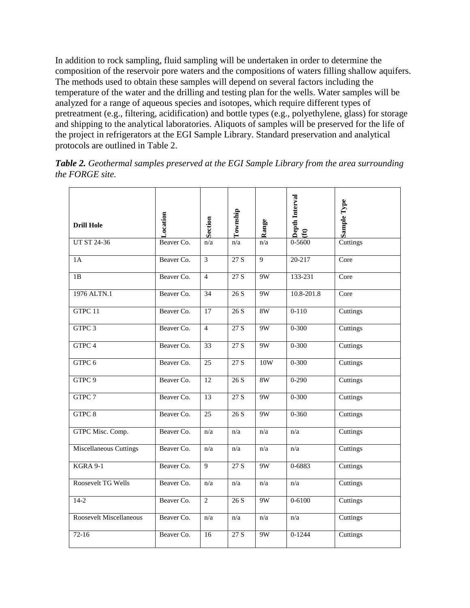In addition to rock sampling, fluid sampling will be undertaken in order to determine the composition of the reservoir pore waters and the compositions of waters filling shallow aquifers. The methods used to obtain these samples will depend on several factors including the temperature of the water and the drilling and testing plan for the wells. Water samples will be analyzed for a range of aqueous species and isotopes, which require different types of pretreatment (e.g., filtering, acidification) and bottle types (e.g., polyethylene, glass) for storage and shipping to the analytical laboratories. Aliquots of samples will be preserved for the life of the project in refrigerators at the EGI Sample Library. Standard preservation and analytical protocols are outlined in Table 2.

| <b>Drill Hole</b>             | Location   | Section                 | Township         | Range | Depth Interval<br>$\mathbf{f}$ | Sample Type |
|-------------------------------|------------|-------------------------|------------------|-------|--------------------------------|-------------|
| UT ST 24-36                   | Beaver Co. | n/a                     | n/a              | n/a   | 0-5600                         | Cuttings    |
| 1A                            | Beaver Co. | $\overline{\mathbf{3}}$ | $\overline{27S}$ | 9     | 20-217                         | Core        |
| 1B                            | Beaver Co. | $\overline{4}$          | 27 S             | 9W    | 133-231                        | Core        |
| 1976 ALTN.1                   | Beaver Co. | 34                      | 26 S             | 9W    | $10.8 - 201.8$                 | Core        |
| GTPC 11                       | Beaver Co. | 17                      | 26S              | 8W    | $0 - 110$                      | Cuttings    |
| GTPC 3                        | Beaver Co. | $\overline{4}$          | 27 S             | 9W    | $0 - 300$                      | Cuttings    |
| GTPC 4                        | Beaver Co. | 33                      | 27 S             | 9W    | $0 - 300$                      | Cuttings    |
| GTPC 6                        | Beaver Co. | 25                      | 27S              | 10W   | $0 - 300$                      | Cuttings    |
| GTPC 9                        | Beaver Co. | 12                      | 26 S             | 8W    | $0-290$                        | Cuttings    |
| GTPC 7                        | Beaver Co. | 13                      | 27 S             | 9W    | $0 - 300$                      | Cuttings    |
| GTPC 8                        | Beaver Co. | 25                      | 26 S             | 9W    | $0 - 360$                      | Cuttings    |
| GTPC Misc. Comp.              | Beaver Co. | n/a                     | n/a              | n/a   | n/a                            | Cuttings    |
| <b>Miscellaneous Cuttings</b> | Beaver Co. | n/a                     | n/a              | n/a   | n/a                            | Cuttings    |
| <b>KGRA 9-1</b>               | Beaver Co. | 9                       | 27 S             | 9W    | 0-6883                         | Cuttings    |
| Roosevelt TG Wells            | Beaver Co. | n/a                     | n/a              | n/a   | n/a                            | Cuttings    |
| $14-2$                        | Beaver Co. | $\mathbf{2}$            | 26 S             | 9W    | $0 - 6100$                     | Cuttings    |
| Roosevelt Miscellaneous       | Beaver Co. | n/a                     | n/a              | n/a   | n/a                            | Cuttings    |
| $72-16$                       | Beaver Co. | 16                      | 27 S             | 9W    | $0 - 1244$                     | Cuttings    |
|                               |            |                         |                  |       |                                |             |

*Table 2. Geothermal samples preserved at the EGI Sample Library from the area surrounding the FORGE site.*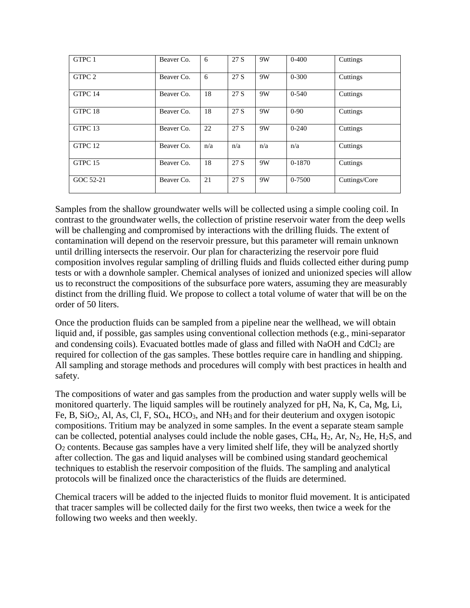| GTPC 1    | Beaver Co. | 6   | 27 S | 9W  | $0 - 400$ | Cuttings      |
|-----------|------------|-----|------|-----|-----------|---------------|
| GTPC 2    | Beaver Co. | 6   | 27 S | 9W  | $0 - 300$ | Cuttings      |
| GTPC 14   | Beaver Co. | 18  | 27 S | 9W  | $0 - 540$ | Cuttings      |
| GTPC 18   | Beaver Co. | 18  | 27 S | 9W  | $0 - 90$  | Cuttings      |
| GTPC 13   | Beaver Co. | 22  | 27 S | 9W  | $0-240$   | Cuttings      |
| GTPC 12   | Beaver Co. | n/a | n/a  | n/a | n/a       | Cuttings      |
| GTPC 15   | Beaver Co. | 18  | 27 S | 9W  | $0-1870$  | Cuttings      |
| GOC 52-21 | Beaver Co. | 21  | 27 S | 9W  | 0-7500    | Cuttings/Core |

Samples from the shallow groundwater wells will be collected using a simple cooling coil. In contrast to the groundwater wells, the collection of pristine reservoir water from the deep wells will be challenging and compromised by interactions with the drilling fluids. The extent of contamination will depend on the reservoir pressure, but this parameter will remain unknown until drilling intersects the reservoir. Our plan for characterizing the reservoir pore fluid composition involves regular sampling of drilling fluids and fluids collected either during pump tests or with a downhole sampler. Chemical analyses of ionized and unionized species will allow us to reconstruct the compositions of the subsurface pore waters, assuming they are measurably distinct from the drilling fluid. We propose to collect a total volume of water that will be on the order of 50 liters.

Once the production fluids can be sampled from a pipeline near the wellhead, we will obtain liquid and, if possible, gas samples using conventional collection methods (e.g., mini-separator and condensing coils). Evacuated bottles made of glass and filled with NaOH and CdCl<sub>2</sub> are required for collection of the gas samples. These bottles require care in handling and shipping. All sampling and storage methods and procedures will comply with best practices in health and safety.

The compositions of water and gas samples from the production and water supply wells will be monitored quarterly. The liquid samples will be routinely analyzed for pH, Na, K, Ca, Mg, Li, Fe, B, SiO2, Al, As, Cl, F, SO4, HCO3, and NH3 and for their deuterium and oxygen isotopic compositions. Tritium may be analyzed in some samples. In the event a separate steam sample can be collected, potential analyses could include the noble gases,  $CH_4$ ,  $H_2$ ,  $Ar$ ,  $N_2$ ,  $He$ ,  $H_2S$ , and O<sup>2</sup> contents. Because gas samples have a very limited shelf life, they will be analyzed shortly after collection. The gas and liquid analyses will be combined using standard geochemical techniques to establish the reservoir composition of the fluids. The sampling and analytical protocols will be finalized once the characteristics of the fluids are determined.

Chemical tracers will be added to the injected fluids to monitor fluid movement. It is anticipated that tracer samples will be collected daily for the first two weeks, then twice a week for the following two weeks and then weekly.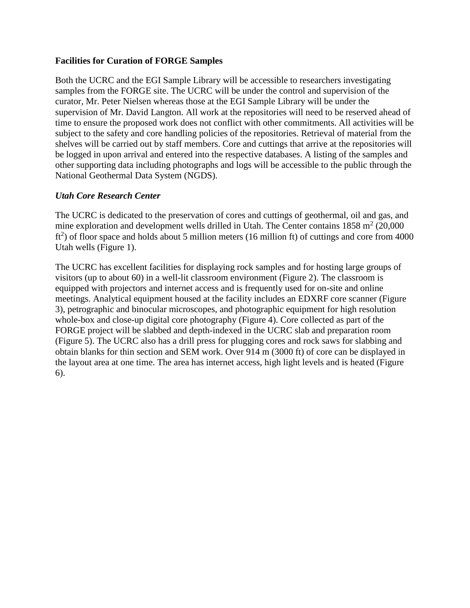#### **Facilities for Curation of FORGE Samples**

Both the UCRC and the EGI Sample Library will be accessible to researchers investigating samples from the FORGE site. The UCRC will be under the control and supervision of the curator, Mr. Peter Nielsen whereas those at the EGI Sample Library will be under the supervision of Mr. David Langton. All work at the repositories will need to be reserved ahead of time to ensure the proposed work does not conflict with other commitments. All activities will be subject to the safety and core handling policies of the repositories. Retrieval of material from the shelves will be carried out by staff members. Core and cuttings that arrive at the repositories will be logged in upon arrival and entered into the respective databases. A listing of the samples and other supporting data including photographs and logs will be accessible to the public through the National Geothermal Data System (NGDS).

#### *Utah Core Research Center*

The UCRC is dedicated to the preservation of cores and cuttings of geothermal, oil and gas, and mine exploration and development wells drilled in Utah. The Center contains  $1858 \text{ m}^2$  (20,000  $ft<sup>2</sup>$ ) of floor space and holds about 5 million meters (16 million ft) of cuttings and core from 4000 Utah wells (Figure 1).

The UCRC has excellent facilities for displaying rock samples and for hosting large groups of visitors (up to about 60) in a well-lit classroom environment (Figure 2). The classroom is equipped with projectors and internet access and is frequently used for on-site and online meetings. Analytical equipment housed at the facility includes an EDXRF core scanner (Figure 3), petrographic and binocular microscopes, and photographic equipment for high resolution whole-box and close-up digital core photography (Figure 4). Core collected as part of the FORGE project will be slabbed and depth-indexed in the UCRC slab and preparation room (Figure 5). The UCRC also has a drill press for plugging cores and rock saws for slabbing and obtain blanks for thin section and SEM work. Over 914 m (3000 ft) of core can be displayed in the layout area at one time. The area has internet access, high light levels and is heated (Figure 6).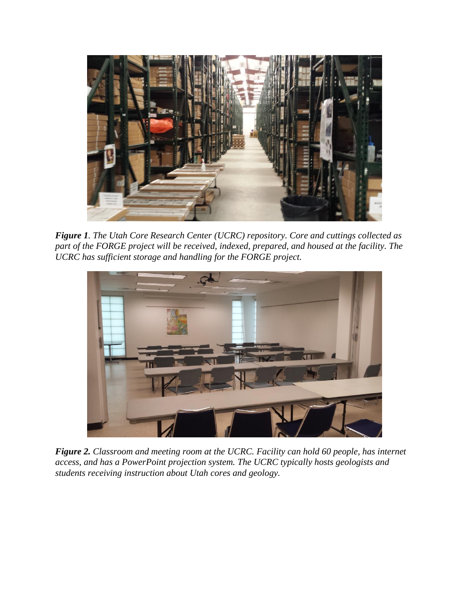

*Figure 1. The Utah Core Research Center (UCRC) repository. Core and cuttings collected as part of the FORGE project will be received, indexed, prepared, and housed at the facility. The UCRC has sufficient storage and handling for the FORGE project.*



*Figure 2. Classroom and meeting room at the UCRC. Facility can hold 60 people, has internet access, and has a PowerPoint projection system. The UCRC typically hosts geologists and students receiving instruction about Utah cores and geology.*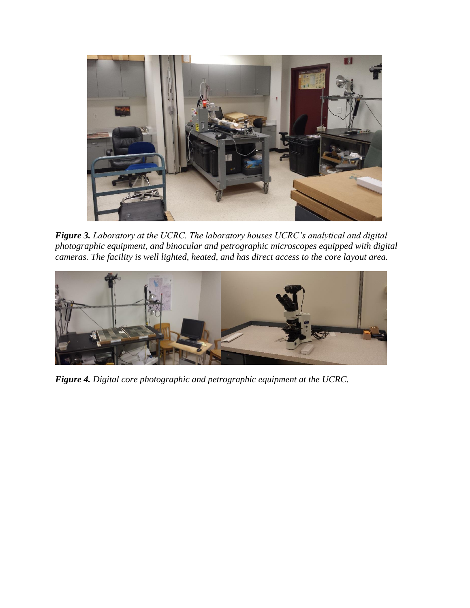

*Figure 3. Laboratory at the UCRC. The laboratory houses UCRC's analytical and digital photographic equipment, and binocular and petrographic microscopes equipped with digital cameras. The facility is well lighted, heated, and has direct access to the core layout area.*



*Figure 4. Digital core photographic and petrographic equipment at the UCRC.*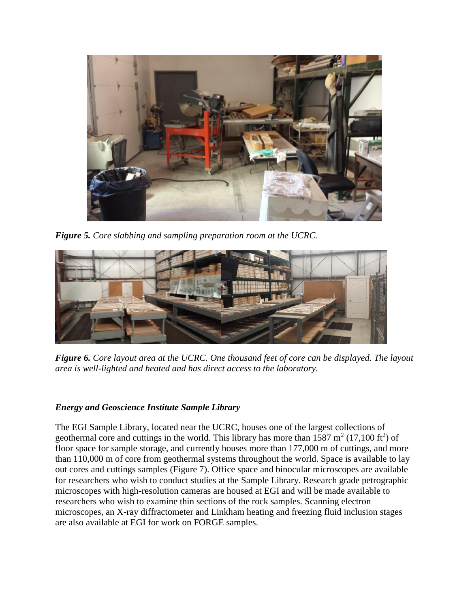

*Figure 5. Core slabbing and sampling preparation room at the UCRC.* 



*Figure 6. Core layout area at the UCRC. One thousand feet of core can be displayed. The layout area is well-lighted and heated and has direct access to the laboratory.*

## *Energy and Geoscience Institute Sample Library*

The EGI Sample Library, located near the UCRC, houses one of the largest collections of geothermal core and cuttings in the world. This library has more than 1587  $m^2$  (17,100 ft<sup>2</sup>) of floor space for sample storage, and currently houses more than 177,000 m of cuttings, and more than 110,000 m of core from geothermal systems throughout the world. Space is available to lay out cores and cuttings samples (Figure 7). Office space and binocular microscopes are available for researchers who wish to conduct studies at the Sample Library. Research grade petrographic microscopes with high-resolution cameras are housed at EGI and will be made available to researchers who wish to examine thin sections of the rock samples. Scanning electron microscopes, an X-ray diffractometer and Linkham heating and freezing fluid inclusion stages are also available at EGI for work on FORGE samples.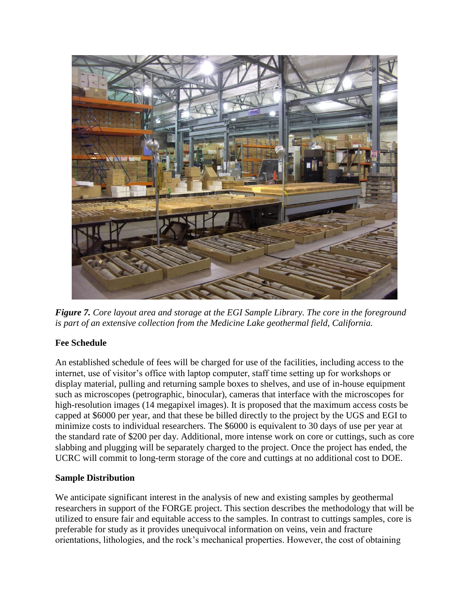

*Figure 7. Core layout area and storage at the EGI Sample Library. The core in the foreground is part of an extensive collection from the Medicine Lake geothermal field, California.*

# **Fee Schedule**

An established schedule of fees will be charged for use of the facilities, including access to the internet, use of visitor's office with laptop computer, staff time setting up for workshops or display material, pulling and returning sample boxes to shelves, and use of in-house equipment such as microscopes (petrographic, binocular), cameras that interface with the microscopes for high-resolution images (14 megapixel images). It is proposed that the maximum access costs be capped at \$6000 per year, and that these be billed directly to the project by the UGS and EGI to minimize costs to individual researchers. The \$6000 is equivalent to 30 days of use per year at the standard rate of \$200 per day. Additional, more intense work on core or cuttings, such as core slabbing and plugging will be separately charged to the project. Once the project has ended, the UCRC will commit to long-term storage of the core and cuttings at no additional cost to DOE.

## **Sample Distribution**

We anticipate significant interest in the analysis of new and existing samples by geothermal researchers in support of the FORGE project. This section describes the methodology that will be utilized to ensure fair and equitable access to the samples. In contrast to cuttings samples, core is preferable for study as it provides unequivocal information on veins, vein and fracture orientations, lithologies, and the rock's mechanical properties. However, the cost of obtaining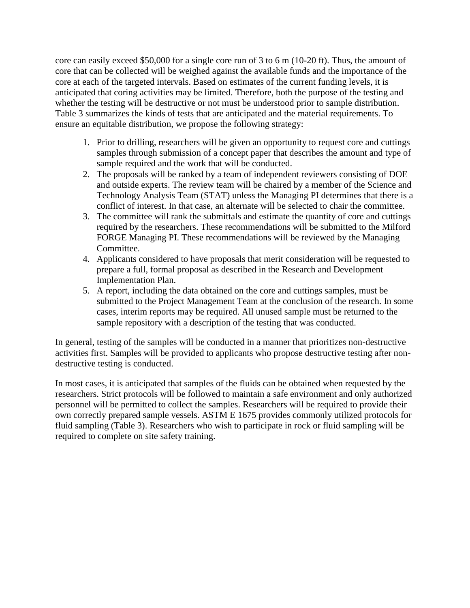core can easily exceed \$50,000 for a single core run of 3 to 6 m (10-20 ft). Thus, the amount of core that can be collected will be weighed against the available funds and the importance of the core at each of the targeted intervals. Based on estimates of the current funding levels, it is anticipated that coring activities may be limited. Therefore, both the purpose of the testing and whether the testing will be destructive or not must be understood prior to sample distribution. Table 3 summarizes the kinds of tests that are anticipated and the material requirements. To ensure an equitable distribution, we propose the following strategy:

- 1. Prior to drilling, researchers will be given an opportunity to request core and cuttings samples through submission of a concept paper that describes the amount and type of sample required and the work that will be conducted.
- 2. The proposals will be ranked by a team of independent reviewers consisting of DOE and outside experts. The review team will be chaired by a member of the Science and Technology Analysis Team (STAT) unless the Managing PI determines that there is a conflict of interest. In that case, an alternate will be selected to chair the committee.
- 3. The committee will rank the submittals and estimate the quantity of core and cuttings required by the researchers. These recommendations will be submitted to the Milford FORGE Managing PI. These recommendations will be reviewed by the Managing Committee.
- 4. Applicants considered to have proposals that merit consideration will be requested to prepare a full, formal proposal as described in the Research and Development Implementation Plan.
- 5. A report, including the data obtained on the core and cuttings samples, must be submitted to the Project Management Team at the conclusion of the research. In some cases, interim reports may be required. All unused sample must be returned to the sample repository with a description of the testing that was conducted.

In general, testing of the samples will be conducted in a manner that prioritizes non-destructive activities first. Samples will be provided to applicants who propose destructive testing after nondestructive testing is conducted.

In most cases, it is anticipated that samples of the fluids can be obtained when requested by the researchers. Strict protocols will be followed to maintain a safe environment and only authorized personnel will be permitted to collect the samples. Researchers will be required to provide their own correctly prepared sample vessels. ASTM E 1675 provides commonly utilized protocols for fluid sampling (Table 3). Researchers who wish to participate in rock or fluid sampling will be required to complete on site safety training.